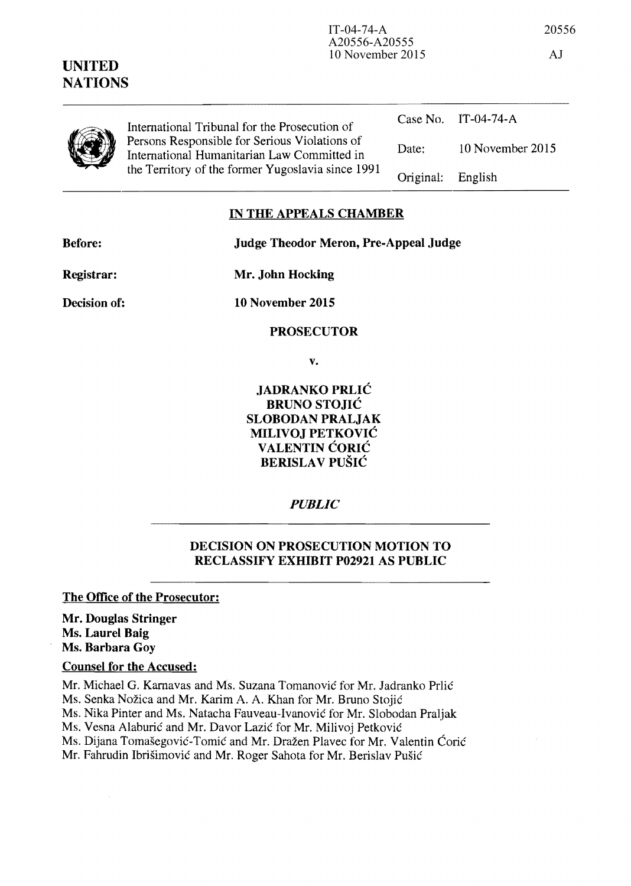| UNITED<br><b>NATIONS</b> | 1913010012012                                                                                                                                     |           | $\lambda$           |
|--------------------------|---------------------------------------------------------------------------------------------------------------------------------------------------|-----------|---------------------|
|                          | International Tribunal for the Prosecution of                                                                                                     |           | Case No. IT-04-74-A |
|                          | Persons Responsible for Serious Violations of<br>International Humanitarian Law Committed in<br>the Territory of the former Yugoslavia since 1991 | Date:     | 10 November 2015    |
|                          |                                                                                                                                                   | Original: | English             |
|                          |                                                                                                                                                   |           |                     |

## IN THE APPEALS CHAMBER

Before: Judge Theodor Meron, Pre-Appeal Judge

A20556-A20555

10 November 2015 AJ

Registrar:

Mr. John Hocking

Decision of:

**10** November 2015

**PROSECUTOR** 

v.

JADRANKO PRLIC BRUNO STOJIC SLOBODAN PRALJAK MILIVOJ PETKOVIC VALENTIN CORIC BERISLAV PUŠIĆ

*PUBLIC* 

## DECISION ON PROSECUTION MOTION TO RECLASSIFY EXHIBIT P02921 AS PUBLIC

The Office of the Prosecutor:

Mr. Douglas Stringer Ms. Laurel Baig Ms. Barbara Goy

## Counsel for the Accused:

Mr. Michael G. Karnavas and Ms. Suzana Tomanović for Mr. Jadranko Prlić

Ms. Senka Nozica and Mr. Karim A. A. Khan for Mr. Bruno Stojie

Ms. Nika Pinter and Ms. Natacha Fauveau-Ivanovie for Mr. Slobodan Praljak

Ms. Vesna Alaburić and Mr. Davor Lazić for Mr. Milivoj Petković

Ms. Dijana Tomašegović-Tomić and Mr. Dražen Plavec for Mr. Valentin Ćorić

Mr. Fahrudin Ibrišimović and Mr. Roger Sahota for Mr. Berislav Pušić